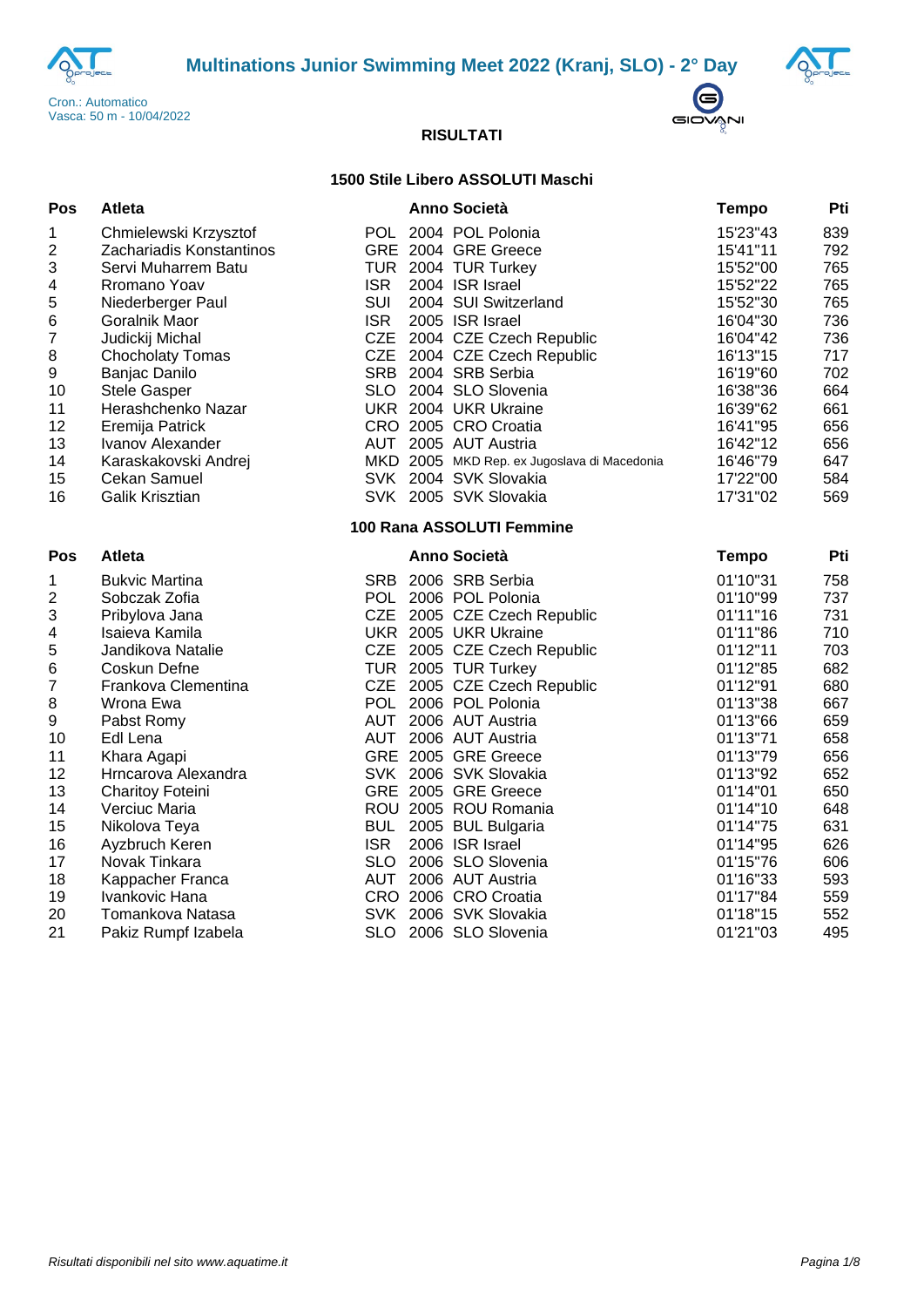





### **1500 Stile Libero ASSOLUTI Maschi**

| Pos              | <b>Atleta</b>            |            | <b>Anno Società</b>                         | <b>Tempo</b> | Pti |
|------------------|--------------------------|------------|---------------------------------------------|--------------|-----|
| 1                | Chmielewski Krzysztof    |            | POL 2004 POL Polonia                        | 15'23"43     | 839 |
| 2                | Zachariadis Konstantinos |            | GRE 2004 GRE Greece                         | 15'41"11     | 792 |
| 3                | Servi Muharrem Batu      | <b>TUR</b> | 2004 TUR Turkey                             | 15'52"00     | 765 |
| 4                | Rromano Yoav             | <b>ISR</b> | 2004 ISR Israel                             | 15'52"22     | 765 |
| 5                | Niederberger Paul        | <b>SUI</b> | 2004 SUI Switzerland                        | 15'52"30     | 765 |
| 6                | Goralnik Maor            | <b>ISR</b> | 2005 ISR Israel                             | 16'04"30     | 736 |
| 7                | Judickij Michal          | <b>CZE</b> | 2004 CZE Czech Republic                     | 16'04"42     | 736 |
| 8                | <b>Chocholaty Tomas</b>  | <b>CZE</b> | 2004 CZE Czech Republic                     | 16'13"15     | 717 |
| $\boldsymbol{9}$ | Banjac Danilo            | <b>SRB</b> | 2004 SRB Serbia                             | 16'19"60     | 702 |
| 10               | <b>Stele Gasper</b>      |            | SLO 2004 SLO Slovenia                       | 16'38"36     | 664 |
| 11               | Herashchenko Nazar       |            | UKR 2004 UKR Ukraine                        | 16'39"62     | 661 |
| 12               | Eremija Patrick          |            | CRO 2005 CRO Croatia                        | 16'41"95     | 656 |
| 13               | Ivanov Alexander         |            | AUT 2005 AUT Austria                        | 16'42"12     | 656 |
| 14               | Karaskakovski Andrej     |            | MKD 2005 MKD Rep. ex Jugoslava di Macedonia | 16'46"79     | 647 |
| 15               | <b>Cekan Samuel</b>      |            | SVK 2004 SVK Slovakia                       | 17'22"00     | 584 |
| 16               | Galik Krisztian          |            | SVK 2005 SVK Slovakia                       | 17'31"02     | 569 |
|                  |                          |            | 100 Rana ASSOLUTI Femmine                   |              |     |
| Pos              | <b>Atleta</b>            |            | Anno Società                                | <b>Tempo</b> | Pti |
| 1                | <b>Bukvic Martina</b>    | <b>SRB</b> | 2006 SRB Serbia                             | 01'10"31     | 758 |
| 2                | Sobczak Zofia            |            | POL 2006 POL Polonia                        | 01'10"99     | 737 |
| 3                | Pribylova Jana           |            | CZE 2005 CZE Czech Republic                 | 01'11"16     | 731 |
| 4                | Isaieva Kamila           |            | UKR 2005 UKR Ukraine                        | 01'11"86     | 710 |
| 5                | Jandikova Natalie        | <b>CZE</b> | 2005 CZE Czech Republic                     | 01'12"11     | 703 |
| 6                | Coskun Defne             |            | TUR 2005 TUR Turkey                         | 01'12"85     | 682 |
| 7                | Frankova Clementina      |            | CZE 2005 CZE Czech Republic                 | 01'12"91     | 680 |
| 8                | Wrona Ewa                | <b>POL</b> | 2006 POL Polonia                            | 01'13"38     | 667 |
| 9                | Pabst Romy               | <b>AUT</b> | 2006 AUT Austria                            | 01'13"66     | 659 |
| 10               | Edl Lena                 | AUT        | 2006 AUT Austria                            | 01'13"71     | 658 |
| 11               | Khara Agapi              |            | GRE 2005 GRE Greece                         | 01'13"79     | 656 |
| 12               | Hrncarova Alexandra      |            | SVK 2006 SVK Slovakia                       | 01'13"92     | 652 |
| 13               | <b>Charitoy Foteini</b>  |            | GRE 2005 GRE Greece                         | 01'14"01     | 650 |
| 14               | Verciuc Maria            |            | ROU 2005 ROU Romania                        | 01'14"10     | 648 |
| 15               | Nikolova Teya            | <b>BUL</b> | 2005 BUL Bulgaria                           | 01'14"75     | 631 |
| 16               | Ayzbruch Keren           | <b>ISR</b> | 2006 ISR Israel                             | 01'14"95     | 626 |
| 17               | Novak Tinkara            | <b>SLO</b> | 2006 SLO Slovenia                           | 01'15"76     | 606 |
| 18               | Kappacher Franca         | <b>AUT</b> | 2006 AUT Austria                            | 01'16"33     | 593 |
| 19               | Ivankovic Hana           |            | CRO 2006 CRO Croatia                        | 01'17"84     | 559 |
| 20               | Tomankova Natasa         |            | SVK 2006 SVK Slovakia                       | 01'18"15     | 552 |
| 21               | Pakiz Rumpf Izabela      |            | SLO 2006 SLO Slovenia                       | 01'21"03     | 495 |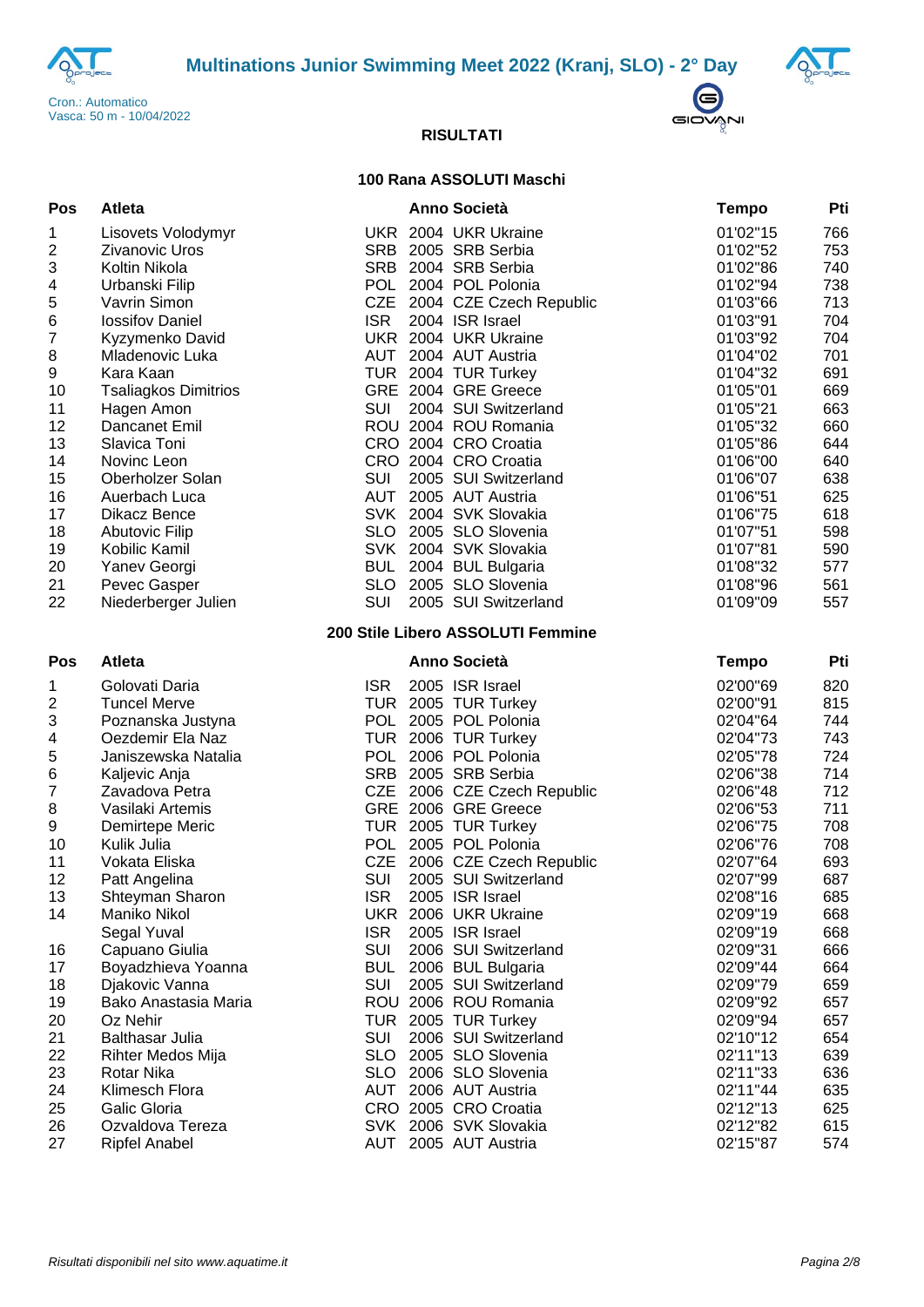





### **100 Rana ASSOLUTI Maschi**

| Pos                       | <b>Atleta</b>               |            | <b>Anno Società</b>               | <b>Tempo</b> | Pti |
|---------------------------|-----------------------------|------------|-----------------------------------|--------------|-----|
| 1                         | Lisovets Volodymyr          |            | UKR 2004 UKR Ukraine              | 01'02"15     | 766 |
| $\boldsymbol{2}$          | <b>Zivanovic Uros</b>       |            | SRB 2005 SRB Serbia               | 01'02"52     | 753 |
| $\ensuremath{\mathsf{3}}$ | Koltin Nikola               |            | SRB 2004 SRB Serbia               | 01'02"86     | 740 |
| 4                         | Urbanski Filip              |            | POL 2004 POL Polonia              | 01'02"94     | 738 |
| 5                         | Vavrin Simon                |            | CZE 2004 CZE Czech Republic       | 01'03"66     | 713 |
| 6                         | <b>lossifov Daniel</b>      | <b>ISR</b> | 2004 ISR Israel                   | 01'03"91     | 704 |
| $\boldsymbol{7}$          | Kyzymenko David             |            | UKR 2004 UKR Ukraine              | 01'03"92     | 704 |
| 8                         | Mladenovic Luka             | AUT        | 2004 AUT Austria                  | 01'04"02     | 701 |
| 9                         | Kara Kaan                   |            | TUR 2004 TUR Turkey               | 01'04"32     | 691 |
| 10                        | <b>Tsaliagkos Dimitrios</b> |            | GRE 2004 GRE Greece               | 01'05"01     | 669 |
| 11                        | Hagen Amon                  | SUI        | 2004 SUI Switzerland              | 01'05"21     | 663 |
| 12                        | Dancanet Emil               |            | ROU 2004 ROU Romania              | 01'05"32     | 660 |
| 13                        | Slavica Toni                |            | CRO 2004 CRO Croatia              | 01'05"86     | 644 |
| 14                        | Novinc Leon                 |            | CRO 2004 CRO Croatia              | 01'06"00     | 640 |
| 15                        | Oberholzer Solan            | SUI        | 2005 SUI Switzerland              | 01'06"07     | 638 |
| 16                        | Auerbach Luca               |            | AUT 2005 AUT Austria              | 01'06"51     | 625 |
| 17                        | Dikacz Bence                |            | SVK 2004 SVK Slovakia             | 01'06"75     | 618 |
| 18                        | <b>Abutovic Filip</b>       |            | SLO 2005 SLO Slovenia             | 01'07"51     | 598 |
| 19                        | Kobilic Kamil               |            | SVK 2004 SVK Slovakia             | 01'07"81     | 590 |
| 20                        | Yanev Georgi                | <b>BUL</b> | 2004 BUL Bulgaria                 | 01'08"32     | 577 |
| 21                        | Pevec Gasper                |            | SLO 2005 SLO Slovenia             | 01'08"96     | 561 |
| 22                        | Niederberger Julien         | SUI        | 2005 SUI Switzerland              | 01'09"09     | 557 |
|                           |                             |            | 200 Stile Libero ASSOLUTI Femmine |              |     |
| Pos                       | <b>Atleta</b>               |            | <b>Anno Società</b>               | <b>Tempo</b> | Pti |
| 1                         | Golovati Daria              | <b>ISR</b> | 2005 ISR Israel                   | 02'00"69     | 820 |
| $\boldsymbol{2}$          | <b>Tuncel Merve</b>         |            | TUR 2005 TUR Turkey               | 02'00"91     | 815 |
| 3                         | Poznanska Justyna           | <b>POL</b> | 2005 POL Polonia                  | 02'04"64     | 744 |
| 4                         | Oezdemir Ela Naz            |            | TUR 2006 TUR Turkey               | 02'04"73     | 743 |
| 5                         | Janiszewska Natalia         | <b>POL</b> | 2006 POL Polonia                  | 02'05"78     | 724 |
| $\,6$                     | Kaljevic Anja               |            | SRB 2005 SRB Serbia               | 02'06"38     | 714 |
| $\boldsymbol{7}$          | Zavadova Petra              |            | CZE 2006 CZE Czech Republic       | 02'06"48     | 712 |
| $\,8\,$                   | Vasilaki Artemis            |            | GRE 2006 GRE Greece               | 02'06"53     | 711 |
| 9                         | Demirtepe Meric             |            | TUR 2005 TUR Turkey               | 02'06"75     | 708 |
| 10                        | Kulik Julia                 |            | POL 2005 POL Polonia              | 02'06"76     | 708 |
| 11                        | Vokata Eliska               |            | CZE 2006 CZE Czech Republic       | 02'07"64     | 693 |
| 12                        | Patt Angelina               | <b>SUI</b> | 2005 SUI Switzerland              | 02'07"99     | 687 |
| 13                        | Shteyman Sharon             | <b>ISR</b> | 2005 ISR Israel                   | 02'08"16     | 685 |
| 14                        | Maniko Nikol                |            | UKR 2006 UKR Ukraine              | 02'09"19     | 668 |
|                           | Segal Yuval                 | <b>ISR</b> | 2005 ISR Israel                   | 02'09"19     | 668 |
| 16                        | Capuano Giulia              | <b>SUI</b> | 2006 SUI Switzerland              | 02'09"31     | 666 |
| 17                        | Boyadzhieva Yoanna          | <b>BUL</b> | 2006 BUL Bulgaria                 | 02'09"44     | 664 |
| 18                        | Djakovic Vanna              | SUI        | 2005 SUI Switzerland              | 02'09"79     | 659 |
| 19                        | Bako Anastasia Maria        |            | ROU 2006 ROU Romania              | 02'09"92     | 657 |
| 20                        | Oz Nehir                    |            | TUR 2005 TUR Turkey               | 02'09"94     | 657 |
| 21                        | <b>Balthasar Julia</b>      | SUI        | 2006 SUI Switzerland              | 02'10"12     | 654 |
| 22                        | Rihter Medos Mija           |            | SLO 2005 SLO Slovenia             | 02'11"13     | 639 |
| 23                        | Rotar Nika                  | <b>SLO</b> | 2006 SLO Slovenia                 | 02'11"33     | 636 |
| 24                        | Klimesch Flora              |            | AUT 2006 AUT Austria              | 02'11"44     | 635 |
| 25                        | Galic Gloria                |            | CRO 2005 CRO Croatia              | 02'12"13     | 625 |
| 26                        | Ozvaldova Tereza            |            | SVK 2006 SVK Slovakia             | 02'12"82     | 615 |
| 27                        | <b>Ripfel Anabel</b>        |            | AUT 2005 AUT Austria              | 02'15"87     | 574 |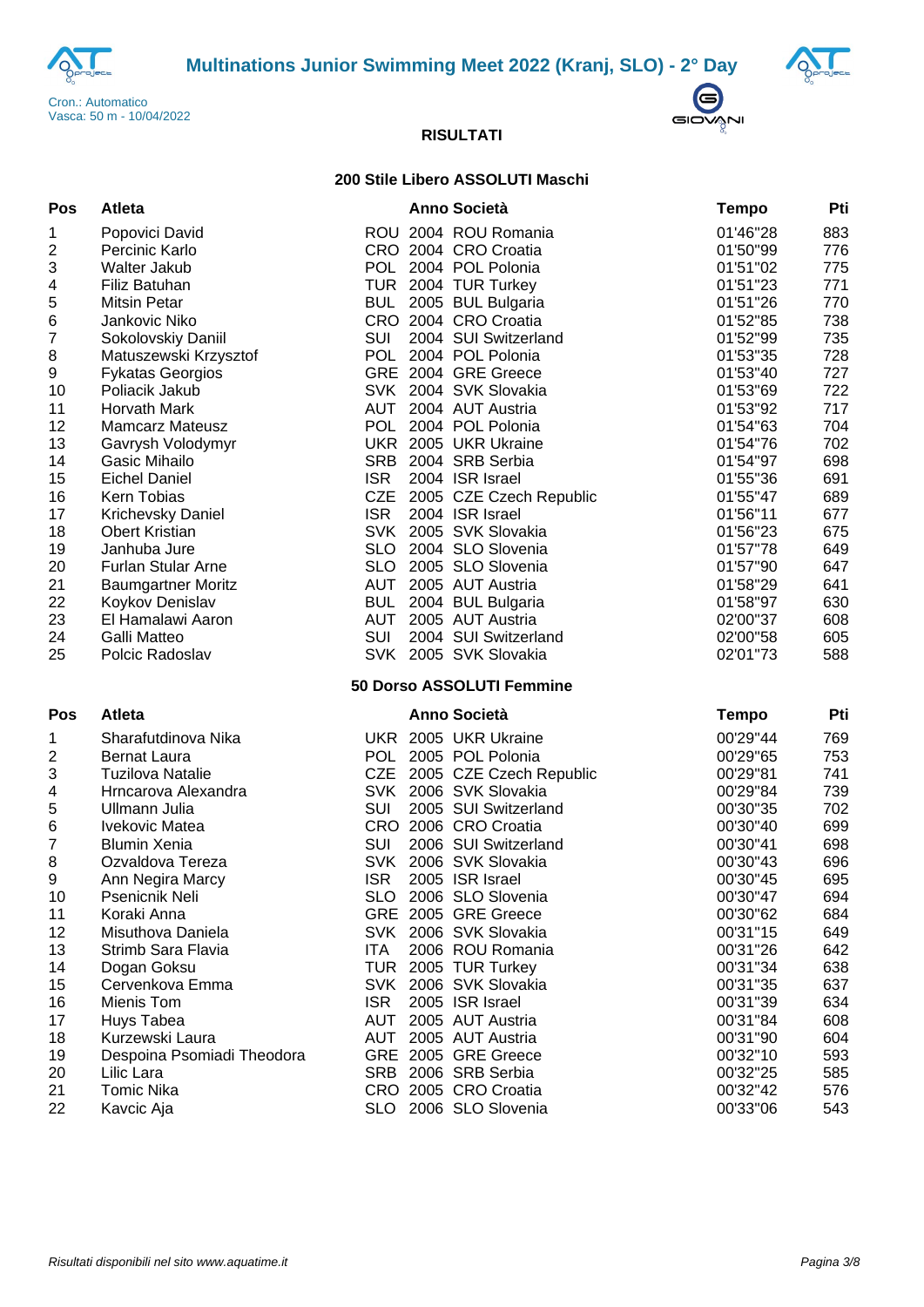



 $\bigodot$ GIOVANI



#### **200 Stile Libero ASSOLUTI Maschi**

| Pos              | <b>Atleta</b>              |            | <b>Anno Società</b>         | Tempo        | Pti |
|------------------|----------------------------|------------|-----------------------------|--------------|-----|
| 1                | Popovici David             |            | ROU 2004 ROU Romania        | 01'46"28     | 883 |
| $\boldsymbol{2}$ | Percinic Karlo             |            | CRO 2004 CRO Croatia        | 01'50"99     | 776 |
| 3                | Walter Jakub               |            | POL 2004 POL Polonia        | 01'51"02     | 775 |
| $\overline{4}$   | Filiz Batuhan              |            | TUR 2004 TUR Turkey         | 01'51"23     | 771 |
| 5                | <b>Mitsin Petar</b>        |            | BUL 2005 BUL Bulgaria       | 01'51"26     | 770 |
| $\,6$            | Jankovic Niko              |            | CRO 2004 CRO Croatia        | 01'52"85     | 738 |
| $\boldsymbol{7}$ | Sokolovskiy Daniil         | <b>SUI</b> | 2004 SUI Switzerland        | 01'52"99     | 735 |
| 8                | Matuszewski Krzysztof      | <b>POL</b> | 2004 POL Polonia            | 01'53"35     | 728 |
| 9                | <b>Fykatas Georgios</b>    |            | GRE 2004 GRE Greece         | 01'53"40     | 727 |
| 10               | Poliacik Jakub             |            | SVK 2004 SVK Slovakia       | 01'53"69     | 722 |
| 11               | Horvath Mark               |            | AUT 2004 AUT Austria        | 01'53"92     | 717 |
| 12               | <b>Mamcarz Mateusz</b>     |            | POL 2004 POL Polonia        | 01'54"63     | 704 |
| 13               | Gavrysh Volodymyr          |            | UKR 2005 UKR Ukraine        | 01'54"76     | 702 |
| 14               | Gasic Mihailo              | <b>SRB</b> | 2004 SRB Serbia             | 01'54"97     | 698 |
| 15               | <b>Eichel Daniel</b>       | <b>ISR</b> | 2004 ISR Israel             | 01'55"36     | 691 |
| 16               | <b>Kern Tobias</b>         |            | CZE 2005 CZE Czech Republic | 01'55"47     | 689 |
| 17               | Krichevsky Daniel          | <b>ISR</b> | 2004 ISR Israel             | 01'56"11     | 677 |
| 18               | <b>Obert Kristian</b>      |            | SVK 2005 SVK Slovakia       | 01'56"23     | 675 |
| 19               | Janhuba Jure               | <b>SLO</b> | 2004 SLO Slovenia           | 01'57"78     | 649 |
| 20               | <b>Furlan Stular Arne</b>  | <b>SLO</b> | 2005 SLO Slovenia           | 01'57"90     | 647 |
| 21               | <b>Baumgartner Moritz</b>  | <b>AUT</b> | 2005 AUT Austria            | 01'58"29     | 641 |
| 22               | Koykov Denislav            | <b>BUL</b> | 2004 BUL Bulgaria           | 01'58"97     | 630 |
| 23               | El Hamalawi Aaron          | AUT        | 2005 AUT Austria            | 02'00"37     | 608 |
| 24               | <b>Galli Matteo</b>        | SUI        | 2004 SUI Switzerland        | 02'00"58     | 605 |
| 25               | Polcic Radoslav            |            | SVK 2005 SVK Slovakia       | 02'01"73     | 588 |
|                  |                            |            | 50 Dorso ASSOLUTI Femmine   |              |     |
| Pos              | Atleta                     |            | <b>Anno Società</b>         | <b>Tempo</b> | Pti |
| 1                | Sharafutdinova Nika        |            | UKR 2005 UKR Ukraine        | 00'29"44     | 769 |
| $\boldsymbol{2}$ | <b>Bernat Laura</b>        |            | POL 2005 POL Polonia        | 00'29"65     | 753 |
| 3                | <b>Tuzilova Natalie</b>    | <b>CZE</b> | 2005 CZE Czech Republic     | 00'29"81     | 741 |
| 4                | Hrncarova Alexandra        |            | SVK 2006 SVK Slovakia       | 00'29"84     | 739 |
| 5                | Ullmann Julia              | SUI        | 2005 SUI Switzerland        | 00'30"35     | 702 |
| $\,6$            | Ivekovic Matea             |            | CRO 2006 CRO Croatia        | 00'30"40     | 699 |
| $\overline{7}$   | <b>Blumin Xenia</b>        | <b>SUI</b> | 2006 SUI Switzerland        | 00'30"41     | 698 |
| 8                | Ozvaldova Tereza           |            | SVK 2006 SVK Slovakia       | 00'30"43     | 696 |
| 9                | Ann Negira Marcy           | <b>ISR</b> | 2005 ISR Israel             | 00'30"45     | 695 |
| 10               | Psenicnik Neli             |            | SLO 2006 SLO Slovenia       | 00'30"47     | 694 |
| 11               | Koraki Anna                |            | GRE 2005 GRE Greece         | 00'30"62     | 684 |
| 12               | Misuthova Daniela          |            | SVK 2006 SVK Slovakia       | 00'31"15     | 649 |
| 13               | Strimb Sara Flavia         | ITA.       | 2006 ROU Romania            | 00'31"26     | 642 |
| 14               | Dogan Goksu                |            | TUR 2005 TUR Turkey         | 00'31"34     | 638 |
| 15               | Cervenkova Emma            |            | SVK 2006 SVK Slovakia       | 00'31"35     | 637 |
| 16               | Mienis Tom                 | <b>ISR</b> | 2005 ISR Israel             | 00'31"39     | 634 |
| 17               | Huys Tabea                 | <b>AUT</b> | 2005 AUT Austria            | 00'31"84     | 608 |
| 18               | Kurzewski Laura            | <b>AUT</b> | 2005 AUT Austria            | 00'31"90     | 604 |
| 19               | Despoina Psomiadi Theodora |            | GRE 2005 GRE Greece         | 00'32"10     | 593 |
| 20               | Lilic Lara                 |            | SRB 2006 SRB Serbia         | 00'32"25     | 585 |
| 21               | <b>Tomic Nika</b>          |            | CRO 2005 CRO Croatia        | 00'32"42     | 576 |
| 22               | Kavcic Aja                 |            | SLO 2006 SLO Slovenia       | 00'33"06     | 543 |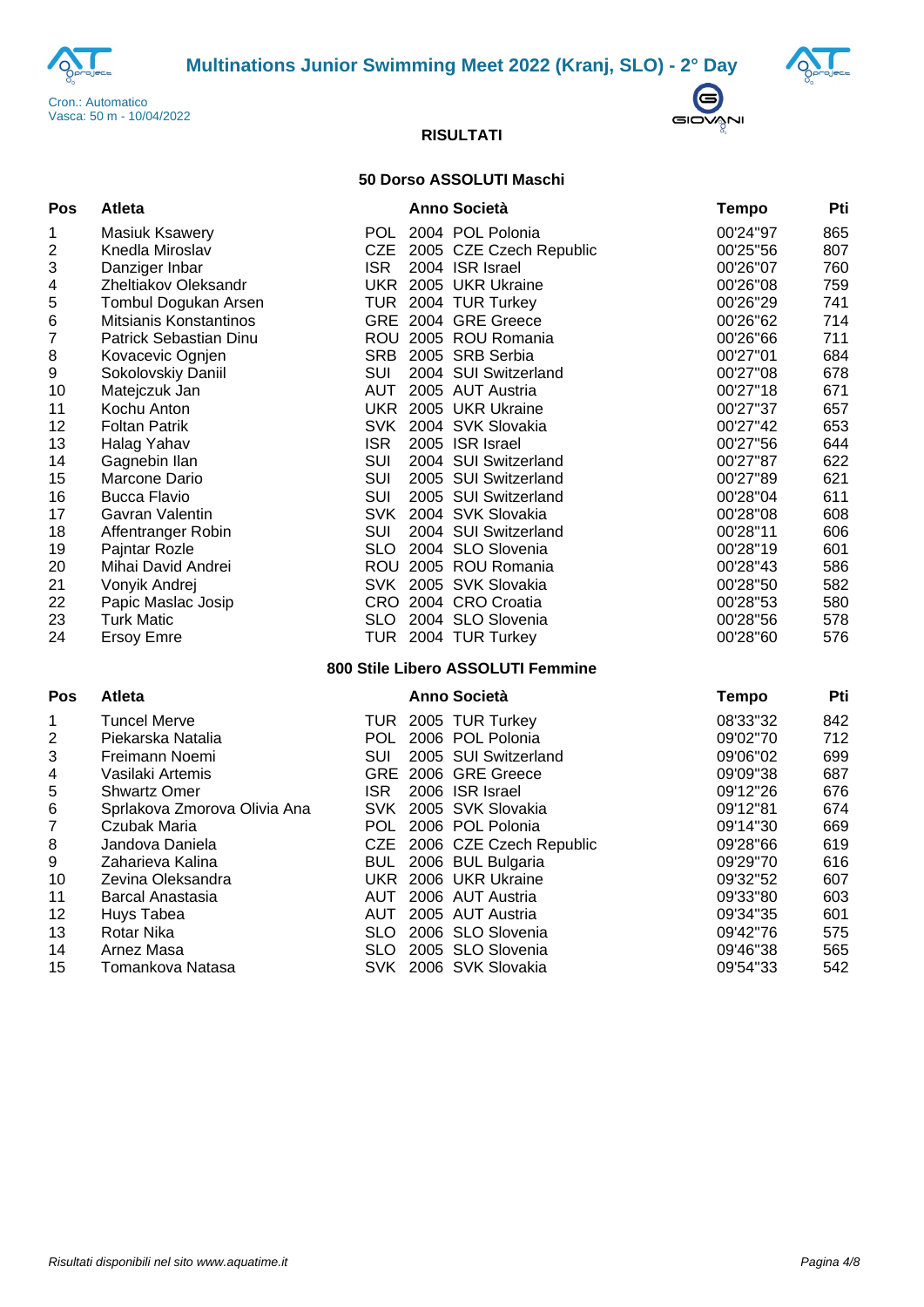





### **50 Dorso ASSOLUTI Maschi**

| Pos              | <b>Atleta</b>                |            | Anno Società                      | <b>Tempo</b> | Pti |
|------------------|------------------------------|------------|-----------------------------------|--------------|-----|
| 1                | <b>Masiuk Ksawery</b>        |            | POL 2004 POL Polonia              | 00'24"97     | 865 |
| $\overline{c}$   | Knedla Miroslav              |            | CZE 2005 CZE Czech Republic       | 00'25"56     | 807 |
| 3                | Danziger Inbar               | <b>ISR</b> | 2004 ISR Israel                   | 00'26"07     | 760 |
| 4                | Zheltiakov Oleksandr         |            | UKR 2005 UKR Ukraine              | 00'26"08     | 759 |
| 5                | Tombul Dogukan Arsen         |            | TUR 2004 TUR Turkey               | 00'26"29     | 741 |
| 6                | Mitsianis Konstantinos       |            | GRE 2004 GRE Greece               | 00'26"62     | 714 |
| $\overline{7}$   | Patrick Sebastian Dinu       |            | ROU 2005 ROU Romania              | 00'26"66     | 711 |
| 8                | Kovacevic Ognjen             |            | SRB 2005 SRB Serbia               | 00'27"01     | 684 |
| $\boldsymbol{9}$ | Sokolovskiy Daniil           | SUI        | 2004 SUI Switzerland              | 00'27"08     | 678 |
| 10               | Matejczuk Jan                |            | AUT 2005 AUT Austria              | 00'27"18     | 671 |
| 11               | Kochu Anton                  |            | UKR 2005 UKR Ukraine              | 00'27"37     | 657 |
| 12               | <b>Foltan Patrik</b>         |            | SVK 2004 SVK Slovakia             | 00'27"42     | 653 |
| 13               | Halag Yahav                  | <b>ISR</b> | 2005 ISR Israel                   | 00'27"56     | 644 |
| 14               | Gagnebin Ilan                | <b>SUI</b> | 2004 SUI Switzerland              | 00'27"87     | 622 |
| 15               | Marcone Dario                | <b>SUI</b> | 2005 SUI Switzerland              | 00'27"89     | 621 |
| 16               | <b>Bucca Flavio</b>          | <b>SUI</b> | 2005 SUI Switzerland              | 00'28"04     | 611 |
| 17               | Gavran Valentin              |            | SVK 2004 SVK Slovakia             | 00'28"08     | 608 |
| 18               | Affentranger Robin           | <b>SUI</b> | 2004 SUI Switzerland              | 00'28"11     | 606 |
| 19               | Pajntar Rozle                |            | SLO 2004 SLO Slovenia             | 00'28"19     | 601 |
| 20               | Mihai David Andrei           |            | ROU 2005 ROU Romania              | 00'28"43     | 586 |
| 21               | Vonyik Andrej                |            | SVK 2005 SVK Slovakia             | 00'28"50     | 582 |
| 22               | Papic Maslac Josip           |            | CRO 2004 CRO Croatia              | 00'28"53     | 580 |
| 23               | <b>Turk Matic</b>            |            | SLO 2004 SLO Slovenia             | 00'28"56     | 578 |
| 24               | <b>Ersoy Emre</b>            |            | TUR 2004 TUR Turkey               | 00'28"60     | 576 |
|                  |                              |            | 800 Stile Libero ASSOLUTI Femmine |              |     |
| Pos              | <b>Atleta</b>                |            | <b>Anno Società</b>               | <b>Tempo</b> | Pti |
| 1                | <b>Tuncel Merve</b>          |            | TUR 2005 TUR Turkey               | 08'33"32     | 842 |
| $\boldsymbol{2}$ | Piekarska Natalia            |            | POL 2006 POL Polonia              | 09'02"70     | 712 |
| $\mathbf{3}$     | Freimann Noemi               | <b>SUI</b> | 2005 SUI Switzerland              | 09'06"02     | 699 |
| 4                | Vasilaki Artemis             |            | GRE 2006 GRE Greece               | 09'09"38     | 687 |
| 5                | <b>Shwartz Omer</b>          | <b>ISR</b> | 2006 ISR Israel                   | 09'12"26     | 676 |
| 6                | Sprlakova Zmorova Olivia Ana |            | SVK 2005 SVK Slovakia             | 09'12"81     | 674 |
| $\boldsymbol{7}$ | Czubak Maria                 |            | POL 2006 POL Polonia              | 09'14"30     | 669 |
| 8                | Jandova Daniela              |            | CZE 2006 CZE Czech Republic       | 09'28"66     | 619 |
| $\boldsymbol{9}$ | Zaharieva Kalina             |            | BUL 2006 BUL Bulgaria             | 09'29"70     | 616 |
| 10               | Zevina Oleksandra            |            | UKR 2006 UKR Ukraine              | 09'32"52     | 607 |
| 11               | Barcal Anastasia             | <b>AUT</b> | 2006 AUT Austria                  | 09'33"80     | 603 |
| 12               | Huys Tabea                   | AUT        | 2005 AUT Austria                  | 09'34"35     | 601 |
| 13               | <b>Rotar Nika</b>            | <b>SLO</b> | 2006 SLO Slovenia                 | 09'42"76     | 575 |
| 14               | Arnez Masa                   |            | SLO 2005 SLO Slovenia             | 09'46"38     | 565 |
| 15               | Tomankova Natasa             |            | SVK 2006 SVK Slovakia             | 09'54"33     | 542 |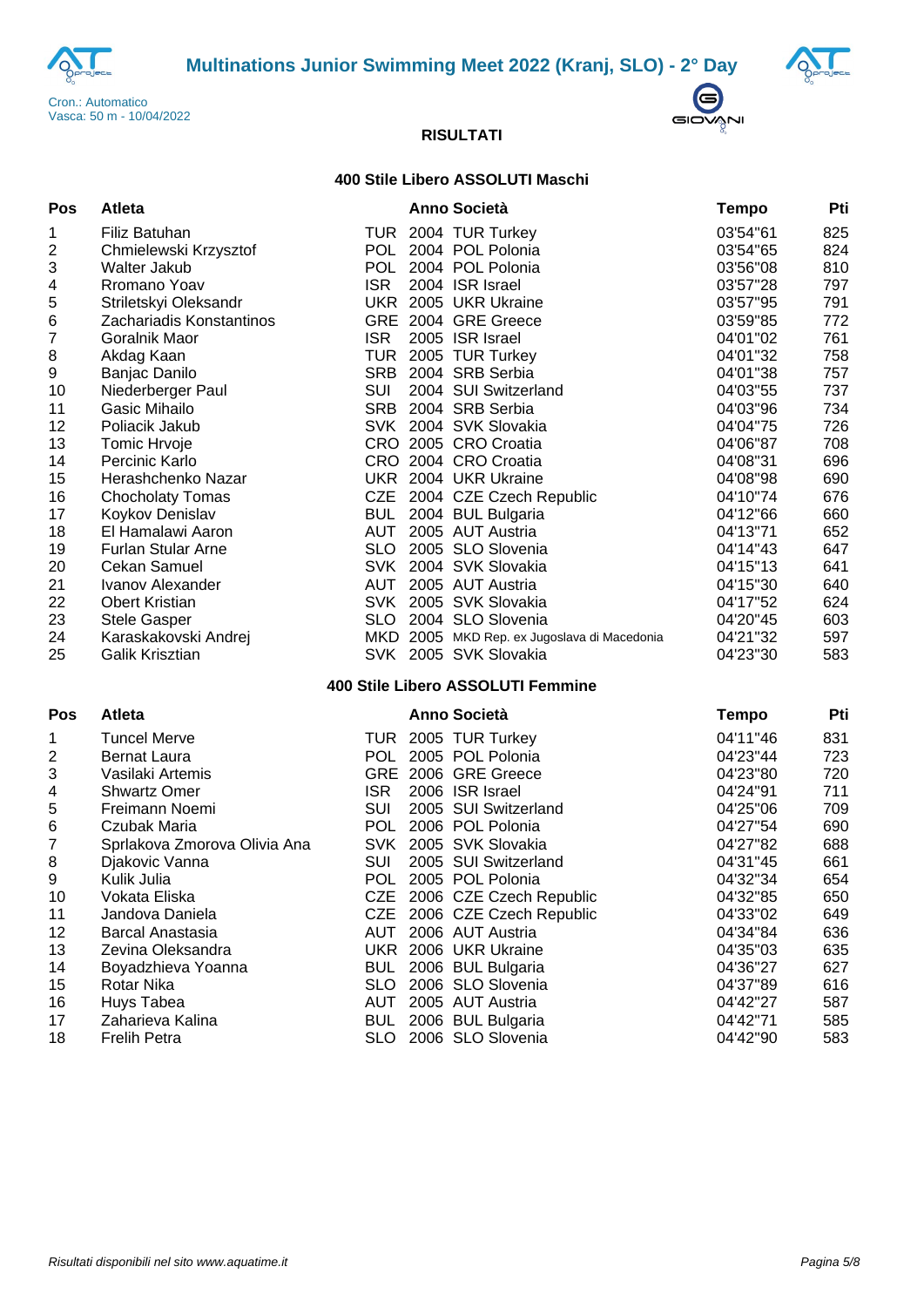





### **400 Stile Libero ASSOLUTI Maschi**

| Pos              | Atleta                       |            | <b>Anno Società</b>                         | <b>Tempo</b> | Pti |
|------------------|------------------------------|------------|---------------------------------------------|--------------|-----|
| 1                | Filiz Batuhan                |            | TUR 2004 TUR Turkey                         | 03'54"61     | 825 |
| 2                | Chmielewski Krzysztof        |            | POL 2004 POL Polonia                        | 03'54"65     | 824 |
| 3                | Walter Jakub                 |            | POL 2004 POL Polonia                        | 03'56"08     | 810 |
| 4                | Rromano Yoav                 | <b>ISR</b> | 2004 ISR Israel                             | 03'57"28     | 797 |
| 5                | Striletskyi Oleksandr        |            | UKR 2005 UKR Ukraine                        | 03'57"95     | 791 |
| 6                | Zachariadis Konstantinos     |            | GRE 2004 GRE Greece                         | 03'59"85     | 772 |
| $\overline{7}$   | Goralnik Maor                | <b>ISR</b> | 2005 ISR Israel                             | 04'01"02     | 761 |
| 8                | Akdag Kaan                   |            | TUR 2005 TUR Turkey                         | 04'01"32     | 758 |
| 9                | Banjac Danilo                |            | SRB 2004 SRB Serbia                         | 04'01"38     | 757 |
| 10               | Niederberger Paul            | <b>SUI</b> | 2004 SUI Switzerland                        | 04'03"55     | 737 |
| 11               | Gasic Mihailo                |            | SRB 2004 SRB Serbia                         | 04'03"96     | 734 |
| 12               | Poliacik Jakub               |            | SVK 2004 SVK Slovakia                       | 04'04"75     | 726 |
| 13               | Tomic Hrvoje                 |            | CRO 2005 CRO Croatia                        | 04'06"87     | 708 |
| 14               | Percinic Karlo               |            | CRO 2004 CRO Croatia                        | 04'08"31     | 696 |
| 15               | Herashchenko Nazar           |            | UKR 2004 UKR Ukraine                        | 04'08"98     | 690 |
| 16               | <b>Chocholaty Tomas</b>      |            | CZE 2004 CZE Czech Republic                 | 04'10"74     | 676 |
| 17               | Koykov Denislav              | <b>BUL</b> | 2004 BUL Bulgaria                           | 04'12"66     | 660 |
| 18               | El Hamalawi Aaron            |            | AUT 2005 AUT Austria                        | 04'13"71     | 652 |
| 19               | <b>Furlan Stular Arne</b>    |            | SLO 2005 SLO Slovenia                       | 04'14"43     | 647 |
| 20               | <b>Cekan Samuel</b>          |            | SVK 2004 SVK Slovakia                       | 04'15"13     | 641 |
| 21               | Ivanov Alexander             |            | AUT 2005 AUT Austria                        | 04'15"30     | 640 |
| 22               | <b>Obert Kristian</b>        |            | SVK 2005 SVK Slovakia                       | 04'17"52     | 624 |
| 23               | Stele Gasper                 |            | SLO 2004 SLO Slovenia                       | 04'20"45     | 603 |
| 24               | Karaskakovski Andrej         |            | MKD 2005 MKD Rep. ex Jugoslava di Macedonia | 04'21"32     | 597 |
| 25               | Galik Krisztian              |            | SVK 2005 SVK Slovakia                       | 04'23"30     | 583 |
|                  |                              |            | 400 Stile Libero ASSOLUTI Femmine           |              |     |
| Pos              | <b>Atleta</b>                |            | <b>Anno Società</b>                         | <b>Tempo</b> | Pti |
| 1                | <b>Tuncel Merve</b>          |            | TUR 2005 TUR Turkey                         | 04'11"46     | 831 |
| $\boldsymbol{2}$ | <b>Bernat Laura</b>          |            | POL 2005 POL Polonia                        | 04'23"44     | 723 |
| 3                | Vasilaki Artemis             |            | GRE 2006 GRE Greece                         | 04'23"80     | 720 |
| 4                | <b>Shwartz Omer</b>          | <b>ISR</b> | 2006 ISR Israel                             | 04'24"91     | 711 |
| 5                | Freimann Noemi               | SUI        | 2005 SUI Switzerland                        | 04'25"06     | 709 |
| $\,6$            | Czubak Maria                 |            | POL 2006 POL Polonia                        | 04'27"54     | 690 |
| $\overline{7}$   | Sprlakova Zmorova Olivia Ana |            | SVK 2005 SVK Slovakia                       | 04'27"82     | 688 |
| 8                | Djakovic Vanna               | SUI        | 2005 SUI Switzerland                        | 04'31"45     | 661 |
| 9                | Kulik Julia                  | <b>POL</b> | 2005 POL Polonia                            | 04'32"34     | 654 |
| 10               | Vokata Eliska                |            | CZE 2006 CZE Czech Republic                 | 04'32"85     | 650 |
| 11               | Jandova Daniela              |            | CZE 2006 CZE Czech Republic                 | 04'33"02     | 649 |
| 12               | <b>Barcal Anastasia</b>      |            | AUT 2006 AUT Austria                        | 04'34"84     | 636 |
| 13               | Zevina Oleksandra            |            | UKR 2006 UKR Ukraine                        | 04'35"03     | 635 |
| 14               | Boyadzhieva Yoanna           |            | BUL 2006 BUL Bulgaria                       | 04'36"27     | 627 |
| 15               | Rotar Nika                   |            | SLO 2006 SLO Slovenia                       | 04'37"89     | 616 |
| 16               | Huys Tabea                   |            | AUT 2005 AUT Austria                        | 04'42"27     | 587 |
| 17               | Zaharieva Kalina             |            | BUL 2006 BUL Bulgaria                       | 04'42"71     | 585 |
| 18               | <b>Frelih Petra</b>          |            | SLO 2006 SLO Slovenia                       | 04'42"90     | 583 |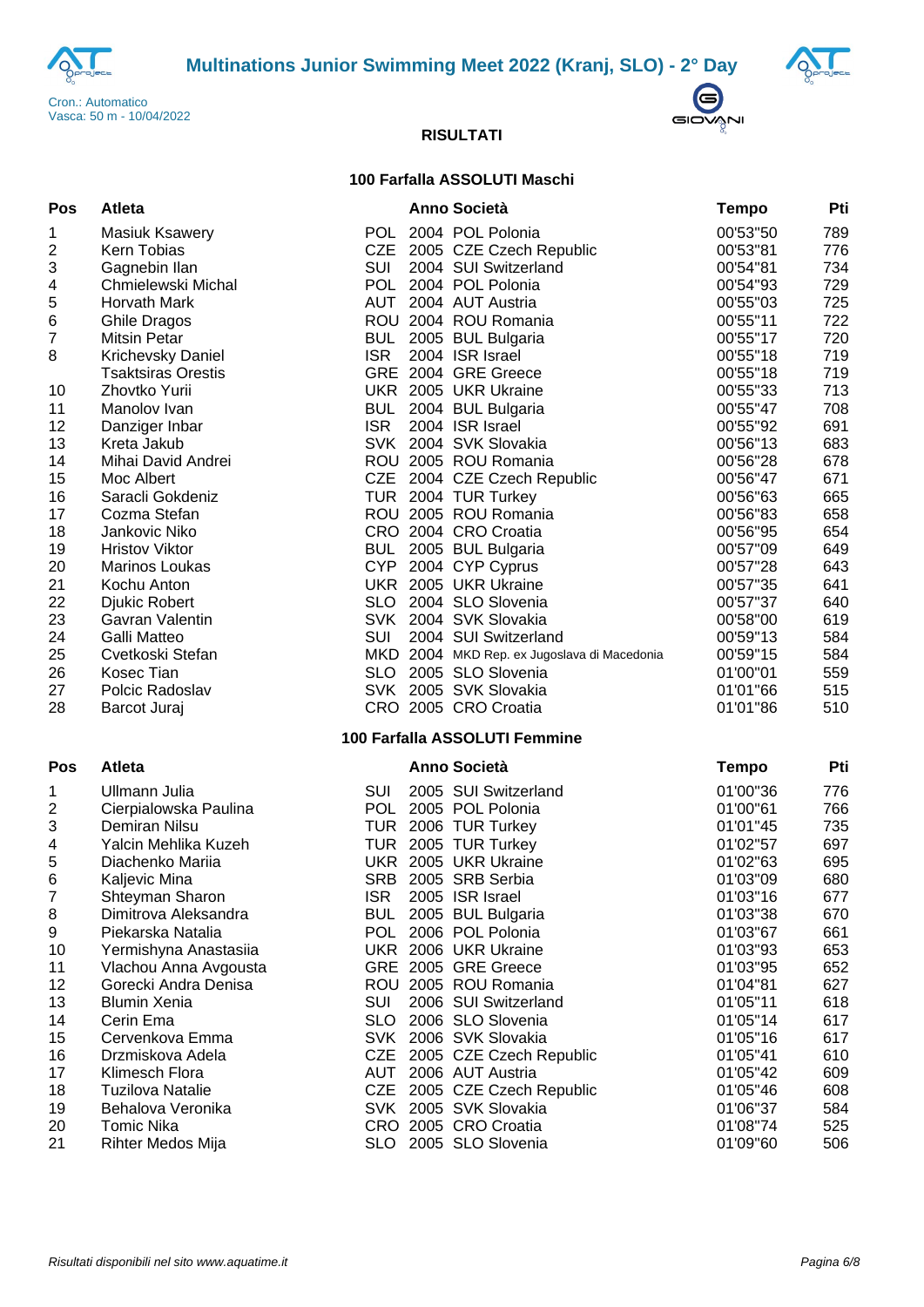





### **100 Farfalla ASSOLUTI Maschi**

| Pos              | Atleta                    |            | Anno Società                                | <b>Tempo</b> | Pti |
|------------------|---------------------------|------------|---------------------------------------------|--------------|-----|
| 1                | <b>Masiuk Ksawery</b>     |            | POL 2004 POL Polonia                        | 00'53"50     | 789 |
| 2                | Kern Tobias               | <b>CZE</b> | 2005 CZE Czech Republic                     | 00'53"81     | 776 |
| 3                | Gagnebin Ilan             | SUI        | 2004 SUI Switzerland                        | 00'54"81     | 734 |
| 4                | Chmielewski Michal        | <b>POL</b> | 2004 POL Polonia                            | 00'54"93     | 729 |
| 5                | Horvath Mark              | AUT        | 2004 AUT Austria                            | 00'55"03     | 725 |
| $\,6$            | <b>Ghile Dragos</b>       |            | ROU 2004 ROU Romania                        | 00'55"11     | 722 |
| $\overline{7}$   | <b>Mitsin Petar</b>       | <b>BUL</b> | 2005 BUL Bulgaria                           | 00'55"17     | 720 |
| 8                | Krichevsky Daniel         | <b>ISR</b> | 2004 ISR Israel                             | 00'55"18     | 719 |
|                  | <b>Tsaktsiras Orestis</b> |            | GRE 2004 GRE Greece                         | 00'55"18     | 719 |
| 10               | Zhovtko Yurii             |            | UKR 2005 UKR Ukraine                        | 00'55"33     | 713 |
| 11               | Manolov Ivan              | <b>BUL</b> | 2004 BUL Bulgaria                           | 00'55"47     | 708 |
| 12               | Danziger Inbar            | <b>ISR</b> | 2004 ISR Israel                             | 00'55"92     | 691 |
| 13               | Kreta Jakub               |            | SVK 2004 SVK Slovakia                       | 00'56"13     | 683 |
| 14               | Mihai David Andrei        |            | ROU 2005 ROU Romania                        | 00'56"28     | 678 |
| 15               | Moc Albert                |            | CZE 2004 CZE Czech Republic                 | 00'56"47     | 671 |
| 16               | Saracli Gokdeniz          |            | TUR 2004 TUR Turkey                         | 00'56"63     | 665 |
| 17               | Cozma Stefan              |            | ROU 2005 ROU Romania                        | 00'56"83     | 658 |
| 18               | Jankovic Niko             |            | CRO 2004 CRO Croatia                        | 00'56"95     | 654 |
| 19               | <b>Hristov Viktor</b>     |            | BUL 2005 BUL Bulgaria                       | 00'57"09     | 649 |
| 20               | Marinos Loukas            |            | CYP 2004 CYP Cyprus                         | 00'57"28     | 643 |
| 21               | Kochu Anton               |            | UKR 2005 UKR Ukraine                        | 00'57"35     | 641 |
| 22               | Djukic Robert             | <b>SLO</b> | 2004 SLO Slovenia                           | 00'57"37     | 640 |
| 23               | Gavran Valentin           |            | SVK 2004 SVK Slovakia                       | 00'58"00     | 619 |
| 24               | Galli Matteo              | SUI        | 2004 SUI Switzerland                        | 00'59"13     | 584 |
| 25               | Cvetkoski Stefan          |            | MKD 2004 MKD Rep. ex Jugoslava di Macedonia | 00'59"15     | 584 |
| 26               | Kosec Tian                |            | SLO 2005 SLO Slovenia                       | 01'00"01     | 559 |
| 27               | Polcic Radoslav           |            | SVK 2005 SVK Slovakia                       | 01'01"66     | 515 |
| 28               | Barcot Juraj              |            | CRO 2005 CRO Croatia                        | 01'01"86     | 510 |
|                  |                           |            | 100 Farfalla ASSOLUTI Femmine               |              |     |
| Pos              | Atleta                    |            | <b>Anno Società</b>                         | <b>Tempo</b> | Pti |
| 1                | Ullmann Julia             | SUI        | 2005 SUI Switzerland                        | 01'00"36     | 776 |
| 2                | Cierpialowska Paulina     | <b>POL</b> | 2005 POL Polonia                            | 01'00"61     | 766 |
| 3                | Demiran Nilsu             | TUR        | 2006 TUR Turkey                             | 01'01"45     | 735 |
| 4                | Yalcin Mehlika Kuzeh      | TUR        | 2005 TUR Turkey                             | 01'02"57     | 697 |
| 5                | Diachenko Mariia          |            | UKR 2005 UKR Ukraine                        | 01'02"63     | 695 |
| 6                | Kaljevic Mina             |            | SRB 2005 SRB Serbia                         | 01'03"09     | 680 |
| 7                | Shteyman Sharon           | <b>ISR</b> | 2005 ISR Israel                             | 01'03"16     | 677 |
| 8                | Dimitrova Aleksandra      | <b>BUL</b> | 2005 BUL Bulgaria                           | 01'03"38     | 670 |
| $\boldsymbol{9}$ | Piekarska Natalia         |            | POL 2006 POL Polonia                        | 01'03"67     | 661 |
| 10               | Yermishyna Anastasiia     |            | UKR 2006 UKR Ukraine                        | 01'03"93     | 653 |
| 11               | Vlachou Anna Avgousta     |            | GRE 2005 GRE Greece                         | 01'03"95     | 652 |
| 12               | Gorecki Andra Denisa      |            | ROU 2005 ROU Romania                        | 01'04"81     | 627 |
| 13               | <b>Blumin Xenia</b>       | SUI        | 2006 SUI Switzerland                        | 01'05"11     | 618 |
| 14               | Cerin Ema                 |            | SLO 2006 SLO Slovenia                       | 01'05"14     | 617 |
| 15               | Cervenkova Emma           |            | SVK 2006 SVK Slovakia                       | 01'05"16     | 617 |
| 16               | Drzmiskova Adela          | <b>CZE</b> | 2005 CZE Czech Republic                     | 01'05"41     | 610 |
| 17               | Klimesch Flora            | AUT        | 2006 AUT Austria                            | 01'05"42     | 609 |
| 18               | <b>Tuzilova Natalie</b>   |            | CZE 2005 CZE Czech Republic                 | 01'05"46     | 608 |
| 19               | Behalova Veronika         |            | SVK 2005 SVK Slovakia                       | 01'06"37     | 584 |
| 20               | <b>Tomic Nika</b>         |            | CRO 2005 CRO Croatia                        | 01'08"74     | 525 |
| 21               | Rihter Medos Mija         |            | SLO 2005 SLO Slovenia                       | 01'09"60     | 506 |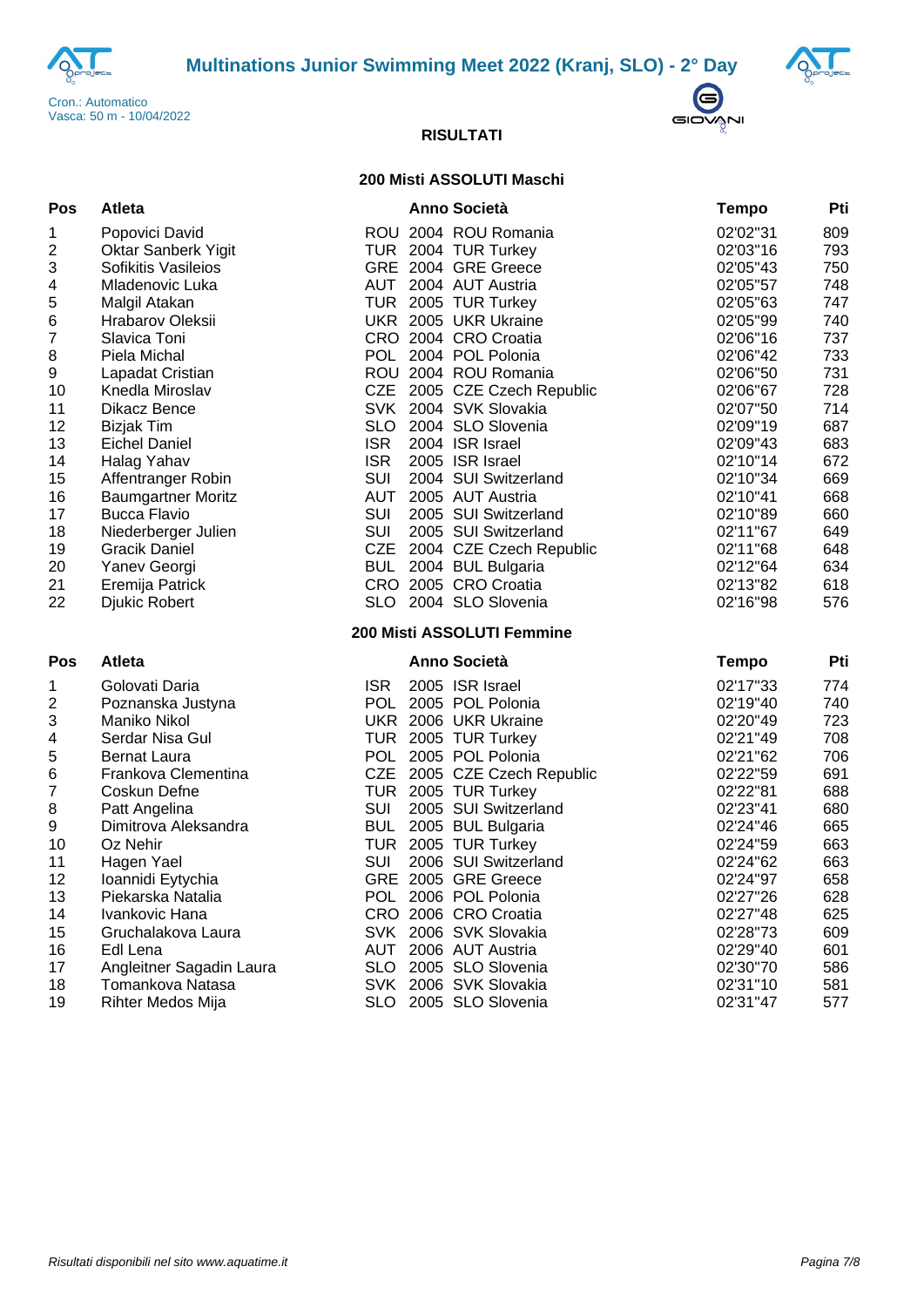



 $\bigodot$ GIOVANI

#### **RISULTATI**

#### **200 Misti ASSOLUTI Maschi**

| Pos | Atleta                    |            | Anno Società                | <b>Tempo</b> | Pti |
|-----|---------------------------|------------|-----------------------------|--------------|-----|
| 1   | Popovici David            |            | ROU 2004 ROU Romania        | 02'02"31     | 809 |
| 2   | Oktar Sanberk Yigit       |            | TUR 2004 TUR Turkey         | 02'03"16     | 793 |
| 3   | Sofikitis Vasileios       |            | GRE 2004 GRE Greece         | 02'05"43     | 750 |
| 4   | Mladenovic Luka           |            | AUT 2004 AUT Austria        | 02'05"57     | 748 |
| 5   | Malgil Atakan             |            | TUR 2005 TUR Turkey         | 02'05"63     | 747 |
| 6   | Hrabarov Oleksii          |            | UKR 2005 UKR Ukraine        | 02'05"99     | 740 |
| 7   | Slavica Toni              |            | CRO 2004 CRO Croatia        | 02'06"16     | 737 |
| 8   | Piela Michal              |            | POL 2004 POL Polonia        | 02'06"42     | 733 |
| 9   | Lapadat Cristian          |            | ROU 2004 ROU Romania        | 02'06"50     | 731 |
| 10  | Knedla Miroslav           |            | CZE 2005 CZE Czech Republic | 02'06"67     | 728 |
| 11  | Dikacz Bence              |            | SVK 2004 SVK Slovakia       | 02'07"50     | 714 |
| 12  | <b>Bizjak Tim</b>         |            | SLO 2004 SLO Slovenia       | 02'09"19     | 687 |
| 13  | <b>Eichel Daniel</b>      | <b>ISR</b> | 2004 ISR Israel             | 02'09"43     | 683 |
| 14  | Halag Yahav               | <b>ISR</b> | 2005 ISR Israel             | 02'10"14     | 672 |
| 15  | Affentranger Robin        | <b>SUI</b> | 2004 SUI Switzerland        | 02'10"34     | 669 |
| 16  | <b>Baumgartner Moritz</b> |            | AUT 2005 AUT Austria        | 02'10"41     | 668 |
| 17  | <b>Bucca Flavio</b>       | SUI        | 2005 SUI Switzerland        | 02'10"89     | 660 |
| 18  | Niederberger Julien       |            | SUI 2005 SUI Switzerland    | 02'11"67     | 649 |
| 19  | <b>Gracik Daniel</b>      |            | CZE 2004 CZE Czech Republic | 02'11"68     | 648 |
| 20  | Yanev Georgi              |            | BUL 2004 BUL Bulgaria       | 02'12"64     | 634 |
| 21  | Eremija Patrick           |            | CRO 2005 CRO Croatia        | 02'13"82     | 618 |
| 22  | <b>Djukic Robert</b>      |            | SLO 2004 SLO Slovenia       | 02'16"98     | 576 |
|     |                           |            | 200 Misti ASSOLUTI Femmine  |              |     |
| Pos | Atleta                    |            | Anno Società                | <b>Tempo</b> | Pti |
| 1   | Golovati Daria            | <b>ISR</b> | 2005 ISR Israel             | 02'17"33     | 774 |
| 2   | Poznanska Justyna         |            | POL 2005 POL Polonia        | 02'19"40     | 740 |
| 3   | Maniko Nikol              |            | UKR 2006 UKR Ukraine        | 02'20"49     | 723 |
| 4   | Serdar Nisa Gul           |            | TUR 2005 TUR Turkey         | 02'21"49     | 708 |
| 5   | Bernat Laura              |            | POL 2005 POL Polonia        | 02'21"62     | 706 |
| 6   | Frankova Clementina       |            | CZE 2005 CZE Czech Republic | 02'22"59     | 691 |
| 7   | Coskun Defne              |            | TUR 2005 TUR Turkey         | 02'22"81     | 688 |
| 8   | Patt Angelina             | <b>SUI</b> | 2005 SUI Switzerland        | 02'23"41     | 680 |
| 9   | Dimitrova Aleksandra      |            | BUL 2005 BUL Bulgaria       | 02'24"46     | 665 |
| 10  | Oz Nehir                  |            | TUR 2005 TUR Turkey         | 02'24"59     | 663 |
| 11  | Hagen Yael                | <b>SUI</b> | 2006 SUI Switzerland        | 02'24"62     | 663 |
| 12  | Ioannidi Eytychia         |            | GRE 2005 GRE Greece         | 02'24"97     | 658 |
| 13  | Piekarska Natalia         |            | POL 2006 POL Polonia        | 02'27"26     | 628 |
| 14  | Ivankovic Hana            |            | CRO 2006 CRO Croatia        | 02'27"48     | 625 |
| 15  | Gruchalakova Laura        |            | SVK 2006 SVK Slovakia       | 02'28"73     | 609 |
| 16  | Edl Lena                  |            | AUT 2006 AUT Austria        | 02'29"40     | 601 |
| 17  | Angleitner Sagadin Laura  |            | SLO 2005 SLO Slovenia       | 02'30"70     | 586 |
| 18  | Tomankova Natasa          |            | SVK 2006 SVK Slovakia       | 02'31"10     | 581 |
| 19  | Rihter Medos Mija         |            | SLO 2005 SLO Slovenia       | 02'31"47     | 577 |